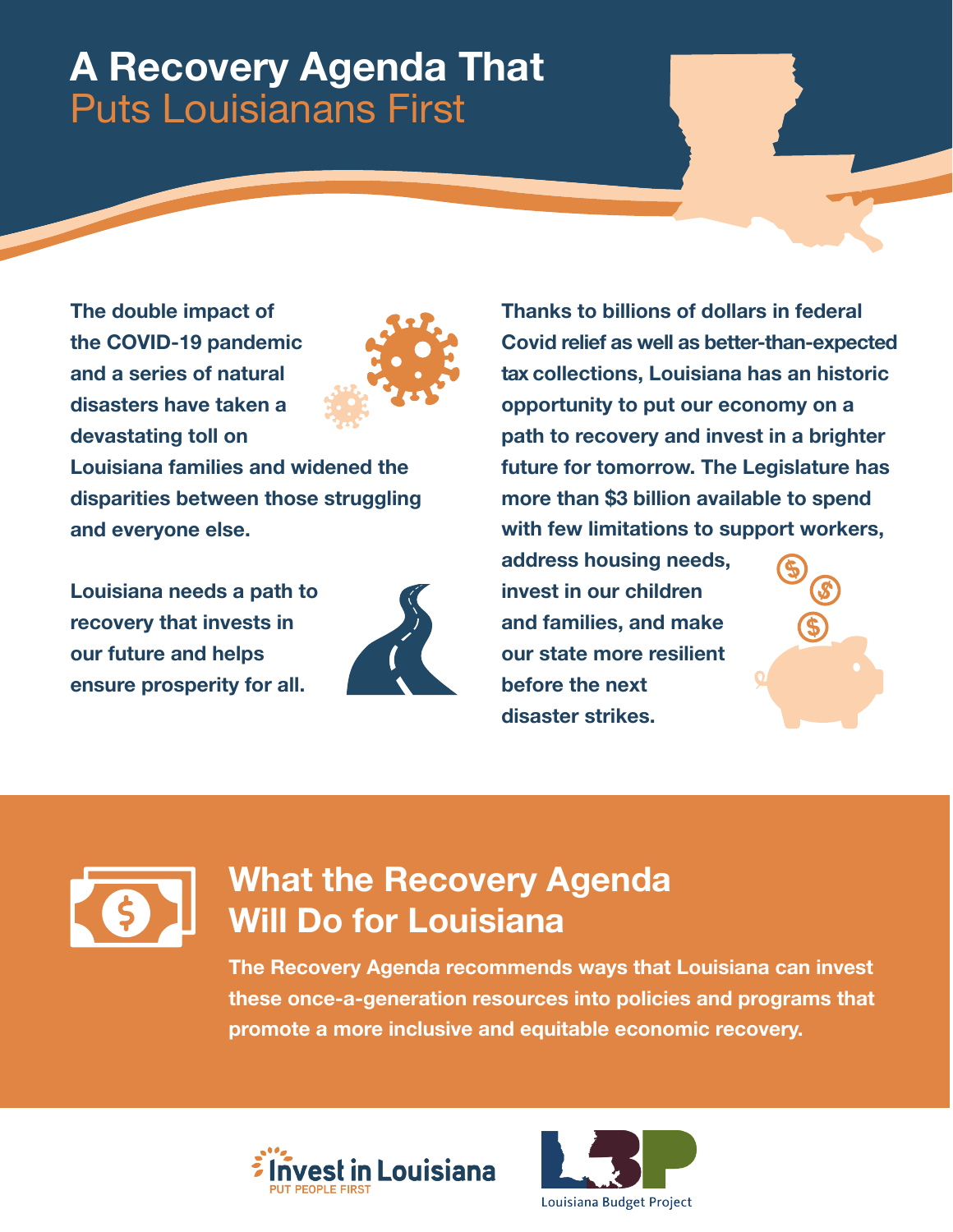# **A Recovery Agenda That**  Puts Louisianans First

**The double impact of the COVID-19 pandemic and a series of natural disasters have taken a devastating toll on** 



**Louisiana families and widened the disparities between those struggling and everyone else.** 

**Louisiana needs a path to recovery that invests in our future and helps ensure prosperity for all.**



**Thanks to billions of dollars in federal Covid relief as well as better-than-expected tax collections, Louisiana has an historic opportunity to put our economy on a path to recovery and invest in a brighter future for tomorrow. The Legislature has more than \$3 billion available to spend with few limitations to support workers,** 

**address housing needs, invest in our children and families, and make our state more resilient before the next disaster strikes.**





## **What the Recovery Agenda Will Do for Louisiana**

**The Recovery Agenda recommends ways that Louisiana can invest these once-a-generation resources into policies and programs that promote a more inclusive and equitable economic recovery.**